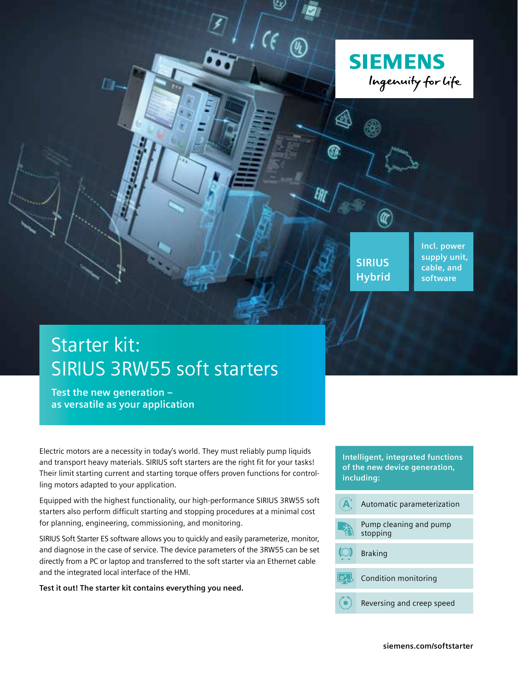

# Starter kit: SIRIUS 3RW55 soft starters

**Test the new generation – as versatile as your application**

Electric motors are a necessity in today's world. They must reliably pump liquids and transport heavy materials. SIRIUS soft starters are the right fit for your tasks! Their limit starting current and starting torque offers proven functions for controlling motors adapted to your application.

Equipped with the highest functionality, our high-performance SIRIUS 3RW55 soft starters also perform difficult starting and stopping procedures at a minimal cost for planning, engineering, commissioning, and monitoring.

SIRIUS Soft Starter ES software allows you to quickly and easily parameterize, monitor, and diagnose in the case of service. The device parameters of the 3RW55 can be set directly from a PC or laptop and transferred to the soft starter via an Ethernet cable and the integrated local interface of the HMI.

**Test it out! The starter kit contains everything you need.**

#### **Intelligent, integrated functions of the new device generation, including:**